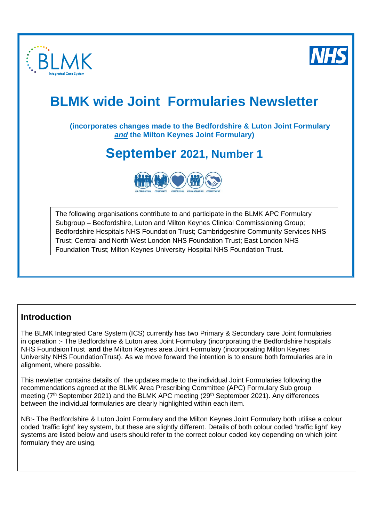

 $\overline{a}$ 



# **BLMK wide Joint Formularies Newsletter**

# **(incorporates changes made to the Bedfordshire & Luton Joint Formulary**  *and* **the Milton Keynes Joint Formulary)**

# **September 2021, Number 1**



The following organisations contribute to and participate in the BLMK APC Formulary Subgroup – Bedfordshire, Luton and Milton Keynes Clinical Commissioning Group; Bedfordshire Hospitals NHS Foundation Trust; Cambridgeshire Community Services NHS Trust; Central and North West London NHS Foundation Trust; East London NHS Foundation Trust; Milton Keynes University Hospital NHS Foundation Trust.

# **Introduction**

The BLMK Integrated Care System (ICS) currently has two Primary & Secondary care Joint formularies in operation :- The Bedfordshire & Luton area Joint Formulary (incorporating the Bedfordshire hospitals NHS FoundaionTrust **and** the Milton Keynes area Joint Formulary (incorporating Milton Keynes University NHS FoundationTrust). As we move forward the intention is to ensure both formularies are in alignment, where possible.

This newletter contains details of the updates made to the individual Joint Formularies following the recommendations agreed at the BLMK Area Prescribing Committee (APC) Formulary Sub group meeting (7<sup>th</sup> September 2021) and the BLMK APC meeting (29<sup>th</sup> September 2021). Any differences between the individual formularies are clearly highlighted within each item.

NB:- The Bedfordshire & Luton Joint Formulary and the Milton Keynes Joint Formulary both utilise a colour coded 'traffic light' key system, but these are slightly different. Details of both colour coded 'traffic light' key systems are listed below and users should refer to the correct colour coded key depending on which joint formulary they are using.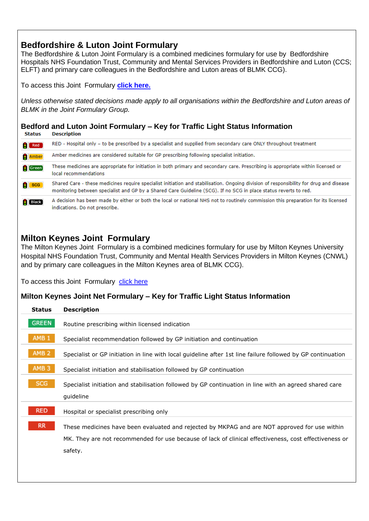# **Bedfordshire & Luton Joint Formulary**

The Bedfordshire & Luton Joint Formulary is a combined medicines formulary for use by Bedfordshire Hospitals NHS Foundation Trust, Community and Mental Services Providers in Bedfordshire and Luton (CCS; ELFT) and primary care colleagues in the Bedfordshire and Luton areas of BLMK CCG).

To access this Joint Formulary **[click here.](http://www.bedsformulary.nhs.uk/default.asp)** 

*Unless otherwise stated decisions made apply to all organisations within the Bedfordshire and Luton areas of BLMK in the Joint Formulary Group.*

# **Bedford and Luton Joint Formulary – Key for Traffic Light Status Information**

| Red            | RED - Hospital only - to be prescribed by a specialist and supplied from secondary care ONLY throughout treatment                                                                                                                                          |
|----------------|------------------------------------------------------------------------------------------------------------------------------------------------------------------------------------------------------------------------------------------------------------|
| Amber          | Amber medicines are considered suitable for GP prescribing following specialist initiation.                                                                                                                                                                |
| Green          | These medicines are appropriate for initiation in both primary and secondary care. Prescribing is appropriate within licensed or<br>local recommendations                                                                                                  |
| <b>SCG</b>     | Shared Care - these medicines require specialist initiation and stabilisation. Ongoing division of responsibility for drug and disease<br>monitoring between specialist and GP by a Shared Care Guideline (SCG). If no SCG in place status reverts to red. |
| <b>I</b> Black | A decision has been made by either or both the local or national NHS not to routinely commission this preparation for its licensed                                                                                                                         |

# **Milton Keynes Joint Formulary**

indications. Do not prescribe.

The Milton Keynes Joint Formulary is a combined medicines formulary for use by Milton Keynes University Hospital NHS Foundation Trust, Community and Mental Health Services Providers in Milton Keynes (CNWL) and by primary care colleagues in the Milton Keynes area of BLMK CCG).

To access this Joint Formulary [click here](https://www.formularymk.nhs.uk/)

# **Milton Keynes Joint Net Formulary – Key for Traffic Light Status Information**

| <b>Status</b>    | <b>Description</b>                                                                                          |
|------------------|-------------------------------------------------------------------------------------------------------------|
| <b>GREEN</b>     | Routine prescribing within licensed indication                                                              |
| AMB <sub>1</sub> | Specialist recommendation followed by GP initiation and continuation                                        |
| AMB <sub>2</sub> | Specialist or GP initiation in line with local guideline after 1st line failure followed by GP continuation |
| AMB <sub>3</sub> | Specialist initiation and stabilisation followed by GP continuation                                         |
| <b>SCG</b>       | Specialist initiation and stabilisation followed by GP continuation in line with an agreed shared care      |
|                  | guideline                                                                                                   |
| <b>RED</b>       | Hospital or specialist prescribing only                                                                     |
| RR.              | These medicines have been evaluated and rejected by MKPAG and are NOT approved for use within               |
|                  | MK. They are not recommended for use because of lack of clinical effectiveness, cost effectiveness or       |
|                  | safety.                                                                                                     |
|                  |                                                                                                             |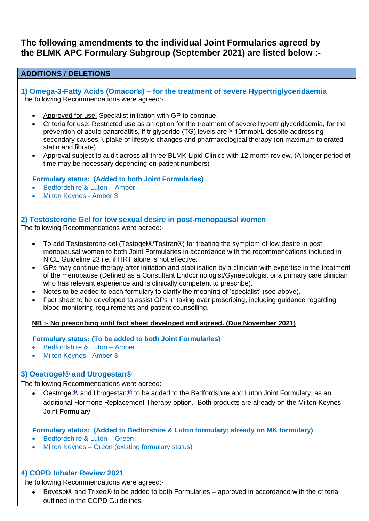# **The following amendments to the individual Joint Formularies agreed by the BLMK APC Formulary Subgroup (September 2021) are listed below :-**

## **ADDITIONS / DELETIONS**

**1) Omega-3-Fatty Acids (Omacor®) – for the treatment of severe Hypertriglyceridaemia**  The following Recommendations were agreed:-

- Approved for use. Specialist initiation with GP to continue.
- Criteria for use: Restricted use as an option for the treatment of severe hypertriglyceridaemia, for the prevention of acute pancreatitis, if triglyceride (TG) levels are ≥ 10mmol/L despite addressing secondary causes, uptake of lifestyle changes and pharmacological therapy (on maximum tolerated statin and fibrate).
- Approval subject to audit across all three BLMK Lipid Clinics with 12 month review. (A longer period of time may be necessary depending on patient numbers)

#### **Formulary status: (Added to both Joint Formularies)**

- Bedfordshire & Luton Amber
- Milton Keynes Amber 3

#### **2) Testosterone Gel for low sexual desire in post-menopausal women**

The following Recommendations were agreed:-

- To add Testosterone gel (Testogel®/Tostran®) for treating the symptom of low desire in post menopausal women to both Joint Formularies in accordance with the recommendations included in NICE Guideline 23 i.e. if HRT alone is not effective.
- GPs may continue therapy after initiation and stabilisation by a clinician with expertise in the treatment of the menopause (Defined as a Consultant Endocrinologist/Gynaecologist or a primary care clinician who has relevant experience and is clinically competent to prescribe).
- Notes to be added to each formulary to clarify the meaning of 'specialist' (see above).
- Fact sheet to be developed to assist GPs in taking over prescribing, including guidance regarding blood monitoring requirements and patient counselling.

### **NB :- No prescribing until fact sheet developed and agreed. (Due November 2021)**

#### **Formulary status: (To be added to both Joint Formularies)**

- Bedfordshire & Luton Amber
- Milton Keynes Amber 3

### **3) Oestrogel® and Utrogestan®**

The following Recommendations were agreed:-

• Oestrogel® and Utrogestan® to be added to the Bedfordshire and Luton Joint Formulary, as an additional Hormone Replacement Therapy option. Both products are already on the Milton Keynes Joint Formulary.

#### **Formulary status: (Added to Bedforshire & Luton formulary; already on MK formulary)**

- Bedfordshire & Luton Green
- Milton Keynes Green (existing formulary status)

### **4) COPD Inhaler Review 2021**

The following Recommendations were agreed:-

• Bevespi® and Trixeo® to be added to both Formularies – approved in accordance with the criteria outlined in the COPD Guidelines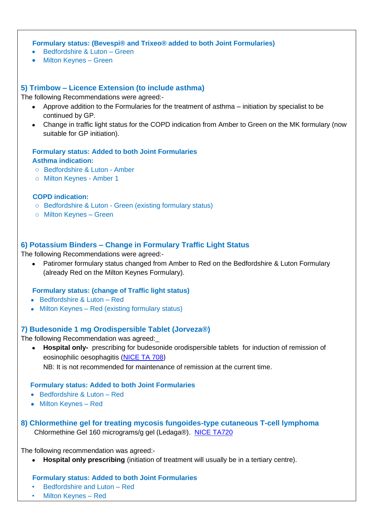**Formulary status: (Bevespi® and Trixeo® added to both Joint Formularies)**

- Bedfordshire & Luton Green
- Milton Keynes Green

### **5) Trimbow – Licence Extension (to include asthma)**

The following Recommendations were agreed:-

- Approve addition to the Formularies for the treatment of asthma initiation by specialist to be continued by GP.
- Change in traffic light status for the COPD indication from Amber to Green on the MK formulary (now suitable for GP initiation).

# **Formulary status: Added to both Joint Formularies**

#### **Asthma indication:**

- o Bedfordshire & Luton Amber
- o Milton Keynes Amber 1

#### **COPD indication:**

- o Bedfordshire & Luton Green (existing formulary status)
- o Milton Keynes Green

## **6) Potassium Binders – Change in Formulary Traffic Light Status**

The following Recommendations were agreed:-

• Patiromer formulary status changed from Amber to Red on the Bedfordshire & Luton Formulary (already Red on the Milton Keynes Formulary).

#### **Formulary status: (change of Traffic light status)**

- Bedfordshire & Luton Red
- Milton Keynes Red (existing formulary status)

### **7) Budesonide 1 mg Orodispersible Tablet (Jorveza®)**

The following Recommendation was agreed:\_

• **Hospital only-** prescribing for budesonide orodispersible tablets for induction of remission of eosinophilic oesophagitis [\(NICE TA 708](https://www.nice.org.uk/guidance/ta708)) NB: It is not recommended for maintenance of remission at the current time.

#### **Formulary status: Added to both Joint Formularies**

- Bedfordshire & Luton Red
- Milton Keynes Red
- **8) Chlormethine gel for treating mycosis fungoides-type cutaneous T-cell lymphoma**  Chlormethine Gel 160 micrograms/g gel (Ledaga®). [NICE TA720](https://www.nice.org.uk/guidance/ta720)

The following recommendation was agreed:-

• **Hospital only prescribing** (initiation of treatment will usually be in a tertiary centre).

#### **Formulary status: Added to both Joint Formularies**

- Bedfordshire and Luton Red
- Milton Keynes Red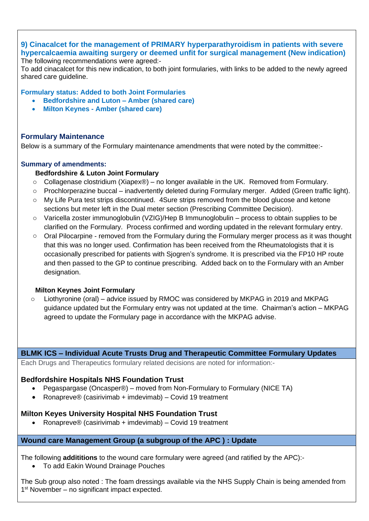#### **9) Cinacalcet for the management of PRIMARY hyperparathyroidism in patients with severe hypercalcaemia awaiting surgery or deemed unfit for surgical management (New indication)**  The following recommendations were agreed:-

To add cinacalcet for this new indication, to both joint formularies, with links to be added to the newly agreed shared care guideline.

**Formulary status: Added to both Joint Formularies**

- **Bedfordshire and Luton – Amber (shared care)**
- **Milton Keynes - Amber (shared care)**

## **Formulary Maintenance**

Below is a summary of the Formulary maintenance amendments that were noted by the committee:-

### **Summary of amendments:**

### **Bedfordshire & Luton Joint Formulary**

- $\circ$  Collagenase clostridium (Xiapex®) no longer available in the UK. Removed from Formulary.
- $\circ$  Prochlorperazine buccal inadvertently deleted during Formulary merger. Added (Green traffic light).
- o My Life Pura test strips discontinued. 4Sure strips removed from the blood glucose and ketone sections but meter left in the Dual meter section (Prescribing Committee Decision).
- o Varicella zoster immunoglobulin (VZIG)/Hep B Immunoglobulin process to obtain supplies to be clarified on the Formulary. Process confirmed and wording updated in the relevant formulary entry.
- $\circ$  Oral Pilocarpine removed from the Formulary during the Formulary merger process as it was thought that this was no longer used. Confirmation has been received from the Rheumatologists that it is occasionally prescribed for patients with Sjogren's syndrome. It is prescribed via the FP10 HP route and then passed to the GP to continue prescribing. Added back on to the Formulary with an Amber designation.

### **Milton Keynes Joint Formulary**

Liothyronine (oral) – advice issued by RMOC was considered by MKPAG in 2019 and MKPAG guidance updated but the Formulary entry was not updated at the time. Chairman's action – MKPAG agreed to update the Formulary page in accordance with the MKPAG advise.

### **BLMK ICS – Individual Acute Trusts Drug and Therapeutic Committee Formulary Updates**

Each Drugs and Therapeutics formulary related decisions are noted for information:-

### **Bedfordshire Hospitals NHS Foundation Trust**

- Pegaspargase (Oncasper®) moved from Non-Formulary to Formulary (NICE TA)
- Ronapreve® (casirivimab + imdevimab) Covid 19 treatment

### **Milton Keyes University Hospital NHS Foundation Trust**

• Ronapreve® (casirivimab + imdevimab) – Covid 19 treatment

### **Wound care Management Group (a subgroup of the APC ) : Update**

The following **addititions** to the wound care formulary were agreed (and ratified by the APC):-

• To add Eakin Wound Drainage Pouches

The Sub group also noted : The foam dressings available via the NHS Supply Chain is being amended from 1<sup>st</sup> November – no significant impact expected.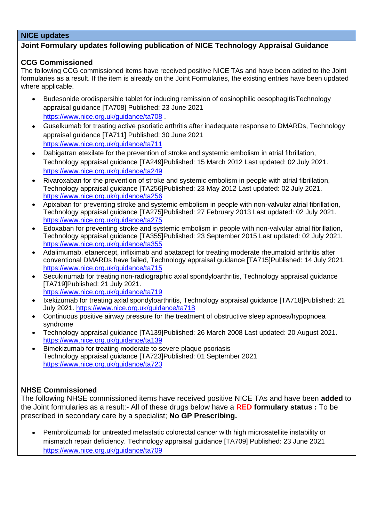# **NICE updates**

## **Joint Formulary updates following publication of NICE Technology Appraisal Guidance**

### **CCG Commissioned**

The following CCG commissioned items have received positive NICE TAs and have been added to the Joint formularies as a result. If the item is already on the Joint Formularies, the existing entries have been updated where applicable.

- Budesonide orodispersible tablet for inducing remission of eosinophilic oesophagitisTechnology appraisal guidance [TA708] Published: 23 June 2021 <https://www.nice.org.uk/guidance/ta708> .
- Guselkumab for treating active psoriatic arthritis after inadequate response to DMARDs, Technology appraisal guidance [TA711] Published: 30 June 2021 <https://www.nice.org.uk/guidance/ta711>
- Dabigatran etexilate for the prevention of stroke and systemic embolism in atrial fibrillation, Technology appraisal guidance [TA249]Published: 15 March 2012 Last updated: 02 July 2021. <https://www.nice.org.uk/guidance/ta249>
- Rivaroxaban for the prevention of stroke and systemic embolism in people with atrial fibrillation, Technology appraisal guidance [TA256]Published: 23 May 2012 Last updated: 02 July 2021. <https://www.nice.org.uk/guidance/ta256>
- Apixaban for preventing stroke and systemic embolism in people with non-valvular atrial fibrillation, Technology appraisal guidance [TA275]Published: 27 February 2013 Last updated: 02 July 2021. <https://www.nice.org.uk/guidance/ta275>
- Edoxaban for preventing stroke and systemic embolism in people with non-valvular atrial fibrillation, Technology appraisal guidance [TA355]Published: 23 September 2015 Last updated: 02 July 2021. <https://www.nice.org.uk/guidance/ta355>
- Adalimumab, etanercept, infliximab and abatacept for treating moderate rheumatoid arthritis after conventional DMARDs have failed, Technology appraisal guidance [TA715]Published: 14 July 2021. <https://www.nice.org.uk/guidance/ta715>
- Secukinumab for treating non-radiographic axial spondyloarthritis, Technology appraisal guidance [TA719]Published: 21 July 2021. <https://www.nice.org.uk/guidance/ta719>
- Ixekizumab for treating axial spondyloarthritis, Technology appraisal guidance [TA718]Published: 21 July 2021.<https://www.nice.org.uk/guidance/ta718>
- Continuous positive airway pressure for the treatment of obstructive sleep apnoea/hypopnoea syndrome
- Technology appraisal guidance [TA139]Published: 26 March 2008 Last updated: 20 August 2021. <https://www.nice.org.uk/guidance/ta139>
- Bimekizumab for treating moderate to severe plaque psoriasis Technology appraisal guidance [TA723]Published: 01 September 2021 <https://www.nice.org.uk/guidance/ta723>

# **NHSE Commissioned**

The following NHSE commissioned items have received positive NICE TAs and have been **added** to the Joint formularies as a result:- All of these drugs below have a **RED formulary status :** To be prescribed in secondary care by a specialist; **No GP Prescribing.**

• Pembrolizumab for untreated metastatic colorectal cancer with high microsatellite instability or mismatch repair deficiency. Technology appraisal guidance [TA709] Published: 23 June 2021 <https://www.nice.org.uk/guidance/ta709>